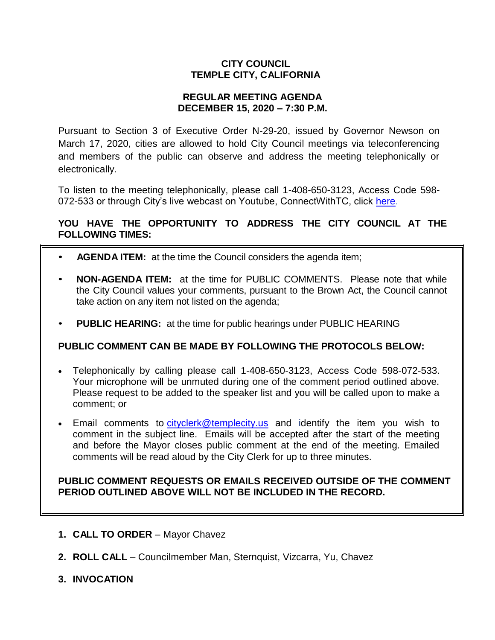## **CITY COUNCIL TEMPLE CITY, CALIFORNIA**

### **REGULAR MEETING AGENDA DECEMBER 15, 2020 – 7:30 P.M.**

Pursuant to Section 3 of Executive Order N-29-20, issued by Governor Newson on March 17, 2020, cities are allowed to hold City Council meetings via teleconferencing and members of the public can observe and address the meeting telephonically or electronically.

To listen to the meeting telephonically, please call 1-408-650-3123, Access Code 598 072-533 or through City's live webcast on Youtube, ConnectWithTC, click [here.](https://www.ci.temple-city.ca.us/516/Meeting-Webcast)

# **YOU HAVE THE OPPORTUNITY TO ADDRESS THE CITY COUNCIL AT THE FOLLOWING TIMES:**

- **AGENDA ITEM:** at the time the Council considers the agenda item;
- **NON-AGENDA ITEM:** at the time for PUBLIC COMMENTS. Please note that while the City Council values your comments, pursuant to the Brown Act, the Council cannot take action on any item not listed on the agenda;
- **PUBLIC HEARING:** at the time for public hearings under PUBLIC HEARING

## **PUBLIC COMMENT CAN BE MADE BY FOLLOWING THE PROTOCOLS BELOW:**

- Telephonically by calling please call 1-408-650-3123, Access Code 598-072-533. Your microphone will be unmuted during one of the comment period outlined above. Please request to be added to the speaker list and you will be called upon to make a comment; or
- Email comments to [cityclerk@templecity.us](mailto:cityclerk@templecity.us) and identify the item you wish to comment in the subject line. Emails will be accepted after the start of the meeting and before the Mayor closes public comment at the end of the meeting. Emailed comments will be read aloud by the City Clerk for up to three minutes.

### **PUBLIC COMMENT REQUESTS OR EMAILS RECEIVED OUTSIDE OF THE COMMENT PERIOD OUTLINED ABOVE WILL NOT BE INCLUDED IN THE RECORD.**

- **1. CALL TO ORDER**  Mayor Chavez
- **2. ROLL CALL**  Councilmember Man, Sternquist, Vizcarra, Yu, Chavez
- **3. INVOCATION**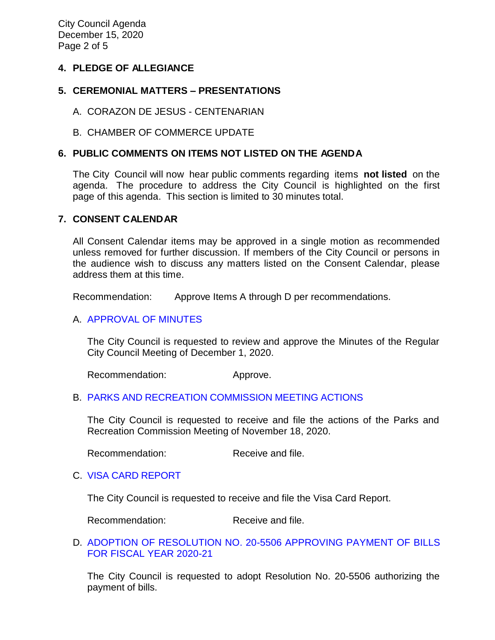City Council Agenda December 15, 2020 Page 2 of 5

### **4. PLEDGE OF ALLEGIANCE**

### **5. CEREMONIAL MATTERS – PRESENTATIONS**

- A. CORAZON DE JESUS CENTENARIAN
- B. CHAMBER OF COMMERCE UPDATE

### **6. PUBLIC COMMENTS ON ITEMS NOT LISTED ON THE AGENDA**

The City Council will now hear public comments regarding items **not listed** on the agenda. The procedure to address the City Council is highlighted on the first page of this agenda. This section is limited to 30 minutes total.

### **7. CONSENT CALENDAR**

All Consent Calendar items may be approved in a single motion as recommended unless removed for further discussion. If members of the City Council or persons in the audience wish to discuss any matters listed on the Consent Calendar, please address them at this time.

Recommendation: Approve Items A through D per recommendations.

### A. [APPROVAL](https://ca-templecity.civicplus.com/DocumentCenter/View/15441/7A_CCM---2020-12-01) OF MINUTES

The City Council is requested to review and approve the Minutes of the Regular City Council Meeting of December 1, 2020.

Recommendation: Approve.

### B. PARKS AND RECREATION [COMMISSION MEETING ACTIONS](https://ca-templecity.civicplus.com/DocumentCenter/View/15442/7B_PRC-Regular-Meeting-Actions_2020-11-18)

The City Council is requested to receive and file the actions of the Parks and Recreation Commission Meeting of November 18, 2020.

Recommendation: Receive and file.

### C. [VISA CARD REPORT](https://ca-templecity.civicplus.com/DocumentCenter/View/15443/7C_Visa-Card-Report-12-15-20)

The City Council is requested to receive and file the Visa Card Report.

Recommendation: Receive and file.

### D. [ADOPTION OF RESOLUTION NO. 20-5506 APPROVING PAYMENT OF BILLS](https://ca-templecity.civicplus.com/DocumentCenter/View/15444/7D_Warrant_Reso-No-20-5506-121520_FY-2020-2021)  [FOR FISCAL YEAR 2020-21](https://ca-templecity.civicplus.com/DocumentCenter/View/15444/7D_Warrant_Reso-No-20-5506-121520_FY-2020-2021)

The City Council is requested to adopt Resolution No. 20-5506 authorizing the payment of bills.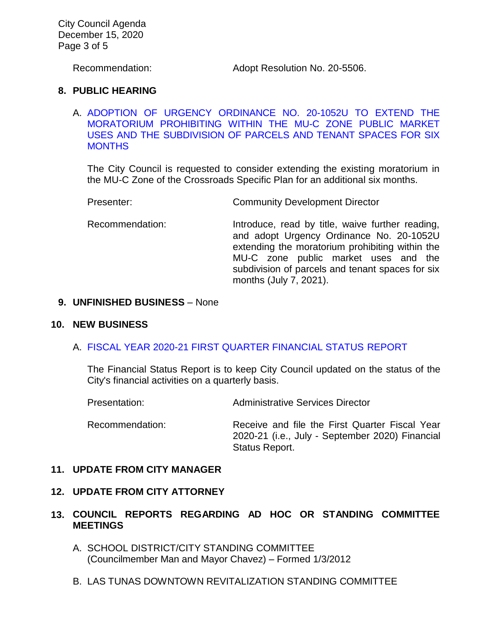City Council Agenda December 15, 2020 Page 3 of 5

Recommendation: Adopt Resolution No. 20-5506.

#### **8. PUBLIC HEARING**

A. [ADOPTION OF URGENCY ORDINANCE NO. 20-1052U TO EXTEND THE](https://ca-templecity.civicplus.com/DocumentCenter/View/15445/8A_Moratorium-for-Crossroads-Specific-Plan_City-Council-Staff-Report)  [MORATORIUM PROHIBITING WITHIN THE MU-C ZONE PUBLIC MARKET](https://ca-templecity.civicplus.com/DocumentCenter/View/15445/8A_Moratorium-for-Crossroads-Specific-Plan_City-Council-Staff-Report)  [USES AND THE SUBDIVISION OF PARCELS AND TENANT SPACES FOR SIX](https://ca-templecity.civicplus.com/DocumentCenter/View/15445/8A_Moratorium-for-Crossroads-Specific-Plan_City-Council-Staff-Report)  **[MONTHS](https://ca-templecity.civicplus.com/DocumentCenter/View/15445/8A_Moratorium-for-Crossroads-Specific-Plan_City-Council-Staff-Report)** 

The City Council is requested to consider extending the existing moratorium in the MU-C Zone of the Crossroads Specific Plan for an additional six months.

Presenter: Community Development Director

Recommendation: Introduce, read by title, waive further reading, and adopt Urgency Ordinance No. 20-1052U extending the moratorium prohibiting within the MU-C zone public market uses and the subdivision of parcels and tenant spaces for six months (July 7, 2021).

#### **9. UNFINISHED BUSINESS** – None

#### **10. NEW BUSINESS**

#### A. [FISCAL YEAR 2020-21 FIRST QUARTER FINANCIAL STATUS](https://ca-templecity.civicplus.com/DocumentCenter/View/15446/10A_1st-Qtr_Staff-Report-1st-Qtr-2021-Financial-Report-Revised) REPORT

The Financial Status Report is to keep City Council updated on the status of the City's financial activities on a quarterly basis.

Presentation: Administrative Services Director

Recommendation: Receive and file the First Quarter Fiscal Year 2020-21 (i.e., July - September 2020) Financial Status Report.

#### **11. UPDATE FROM CITY MANAGER**

#### **12. UPDATE FROM CITY ATTORNEY**

### **13. COUNCIL REPORTS REGARDING AD HOC OR STANDING COMMITTEE MEETINGS**

- A. SCHOOL DISTRICT/CITY STANDING COMMITTEE (Councilmember Man and Mayor Chavez) – Formed 1/3/2012
- B. LAS TUNAS DOWNTOWN REVITALIZATION STANDING COMMITTEE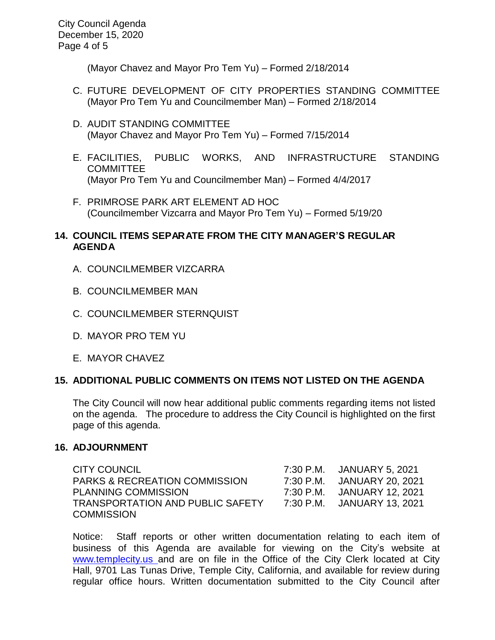City Council Agenda December 15, 2020 Page 4 of 5

(Mayor Chavez and Mayor Pro Tem Yu) – Formed 2/18/2014

- C. FUTURE DEVELOPMENT OF CITY PROPERTIES STANDING COMMITTEE (Mayor Pro Tem Yu and Councilmember Man) – Formed 2/18/2014
- D. AUDIT STANDING COMMITTEE (Mayor Chavez and Mayor Pro Tem Yu) – Formed 7/15/2014
- E. FACILITIES, PUBLIC WORKS, AND INFRASTRUCTURE STANDING **COMMITTEE** (Mayor Pro Tem Yu and Councilmember Man) – Formed 4/4/2017
- F. PRIMROSE PARK ART ELEMENT AD HOC (Councilmember Vizcarra and Mayor Pro Tem Yu) – Formed 5/19/20

## **14. COUNCIL ITEMS SEPARATE FROM THE CITY MANAGER'S REGULAR AGENDA**

- A. COUNCILMEMBER VIZCARRA
- B. COUNCILMEMBER MAN
- C. COUNCILMEMBER STERNQUIST
- D. MAYOR PRO TEM YU
- E. MAYOR CHAVEZ

### **15. ADDITIONAL PUBLIC COMMENTS ON ITEMS NOT LISTED ON THE AGENDA**

The City Council will now hear additional public comments regarding items not listed on the agenda. The procedure to address the City Council is highlighted on the first page of this agenda.

### **16. ADJOURNMENT**

| CITY COUNCIL                             | 7:30 P.M. JANUARY 5, 2021  |
|------------------------------------------|----------------------------|
| <b>PARKS &amp; RECREATION COMMISSION</b> | 7:30 P.M. JANUARY 20, 2021 |
| <b>PLANNING COMMISSION</b>               | 7:30 P.M. JANUARY 12, 2021 |
| TRANSPORTATION AND PUBLIC SAFETY         | 7:30 P.M. JANUARY 13. 2021 |
| <b>COMMISSION</b>                        |                            |

Notice: Staff reports or other written documentation relating to each item of business of this Agenda are available for viewing on the City's website at [www.templecity.us](http://www.templecity.us/) and are on file in the Office of the City Clerk located at City Hall, 9701 Las Tunas Drive, Temple City, California, and available for review during regular office hours. Written documentation submitted to the City Council after